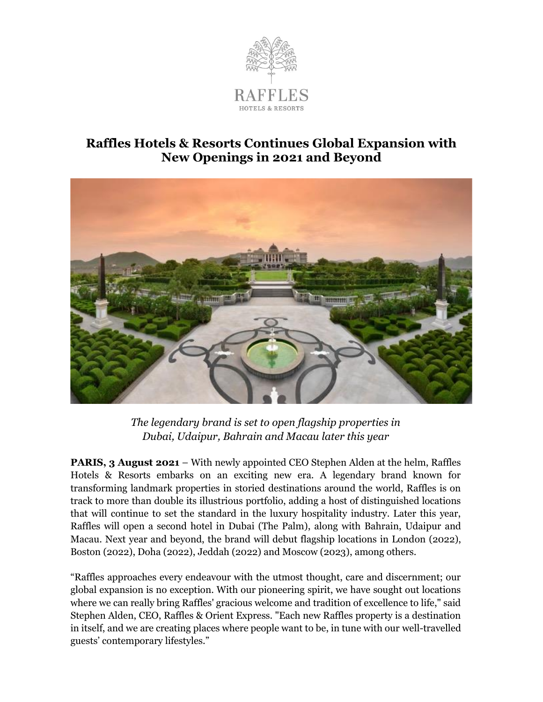

## **Raffles Hotels & Resorts Continues Global Expansion with New Openings in 2021 and Beyond**



*The legendary brand is set to open flagship properties in Dubai, Udaipur, Bahrain and Macau later this year*

**PARIS, 3 August 2021** – With newly appointed CEO Stephen Alden at the helm, Raffles Hotels & Resorts embarks on an exciting new era. A legendary brand known for transforming landmark properties in storied destinations around the world, Raffles is on track to more than double its illustrious portfolio, adding a host of distinguished locations that will continue to set the standard in the luxury hospitality industry. Later this year, Raffles will open a second hotel in Dubai (The Palm), along with Bahrain, Udaipur and Macau. Next year and beyond, the brand will debut flagship locations in London (2022), Boston (2022), Doha (2022), Jeddah (2022) and Moscow (2023), among others.

"Raffles approaches every endeavour with the utmost thought, care and discernment; our global expansion is no exception. With our pioneering spirit, we have sought out locations where we can really bring Raffles' gracious welcome and tradition of excellence to life," said Stephen Alden, CEO, Raffles & Orient Express. "Each new Raffles property is a destination in itself, and we are creating places where people want to be, in tune with our well-travelled guests' contemporary lifestyles."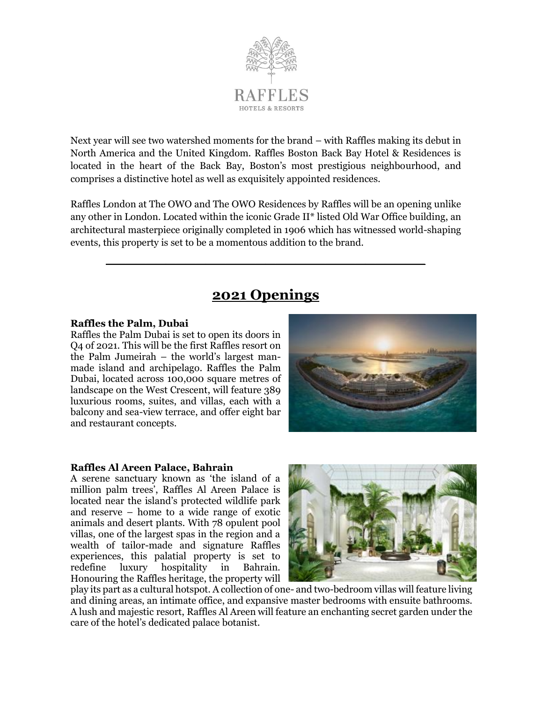

Next year will see two watershed moments for the brand – with Raffles making its debut in North America and the United Kingdom. Raffles Boston Back Bay Hotel & Residences is located in the heart of the Back Bay, Boston's most prestigious neighbourhood, and comprises a distinctive hotel as well as exquisitely appointed residences.

Raffles London at The OWO and The OWO Residences by Raffles will be an opening unlike any other in London. Located within the iconic Grade II\* listed Old War Office building, an architectural masterpiece originally completed in 1906 which has witnessed world-shaping events, this property is set to be a momentous addition to the brand.

# **2021 Openings**

**\_\_\_\_\_\_\_\_\_\_\_\_\_\_\_\_\_\_\_\_\_\_\_\_\_\_\_\_\_\_\_\_**

## **Raffles the Palm, Dubai**

Raffles the Palm Dubai is set to open its doors in Q4 of 2021. This will be the first Raffles resort on the Palm Jumeirah – the world's largest manmade island and archipelago. Raffles the Palm Dubai, located across 100,000 square metres of landscape on the West Crescent, will feature 389 luxurious rooms, suites, and villas, each with a balcony and sea-view terrace, and offer eight bar and restaurant concepts.



## **Raffles Al Areen Palace, Bahrain**

A serene sanctuary known as 'the island of a million palm trees', Raffles Al Areen Palace is located near the island's protected wildlife park and reserve – home to a wide range of exotic animals and desert plants. With 78 opulent pool villas, one of the largest spas in the region and a wealth of tailor-made and signature Raffles experiences, this palatial property is set to redefine luxury hospitality in Bahrain. Honouring the Raffles heritage, the property will



play its part as a cultural hotspot. A collection of one- and two-bedroom villas will feature living and dining areas, an intimate office, and expansive master bedrooms with ensuite bathrooms. A lush and majestic resort, Raffles Al Areen will feature an enchanting secret garden under the care of the hotel's dedicated palace botanist.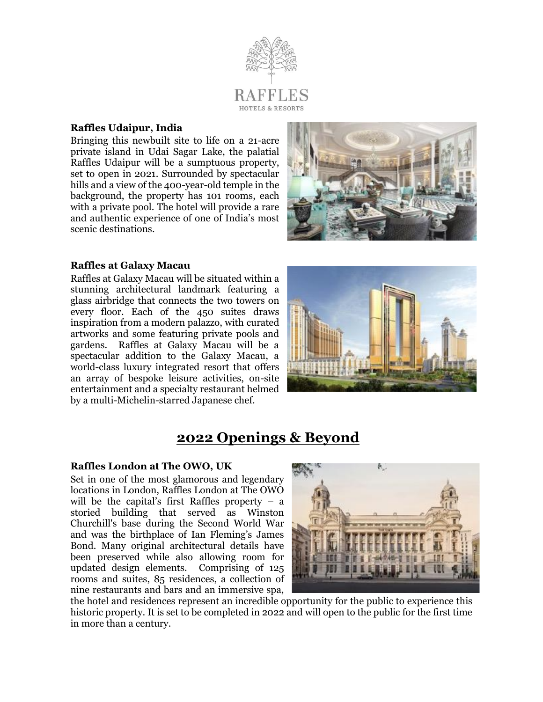

## **Raffles Udaipur, India**

Bringing this newbuilt site to life on a 21-acre private island in Udai Sagar Lake, the palatial Raffles Udaipur will be a sumptuous property, set to open in 2021. Surrounded by spectacular hills and a view of the 400-year-old temple in the background, the property has 101 rooms, each with a private pool. The hotel will provide a rare and authentic experience of one of India's most scenic destinations.



## **Raffles at Galaxy Macau**

Raffles at Galaxy Macau will be situated within a stunning architectural landmark featuring a glass airbridge that connects the two towers on every floor. Each of the 450 suites draws inspiration from a modern palazzo, with curated artworks and some featuring private pools and gardens. Raffles at Galaxy Macau will be a spectacular addition to the Galaxy Macau, a world-class luxury integrated resort that offers an array of bespoke leisure activities, on-site entertainment and a specialty restaurant helmed by a multi-Michelin-starred Japanese chef.



# **2022 Openings & Beyond**

## **Raffles London at The OWO, UK**

Set in one of the most glamorous and legendary locations in London, Raffles London at The OWO will be the capital's first Raffles property  $-$  a storied building that served as Winston Churchill's base during the Second World War and was the birthplace of Ian Fleming's James Bond. Many original architectural details have been preserved while also allowing room for updated design elements. Comprising of 125 rooms and suites, 85 residences, a collection of nine restaurants and bars and an immersive spa,



the hotel and residences represent an incredible opportunity for the public to experience this historic property. It is set to be completed in 2022 and will open to the public for the first time in more than a century.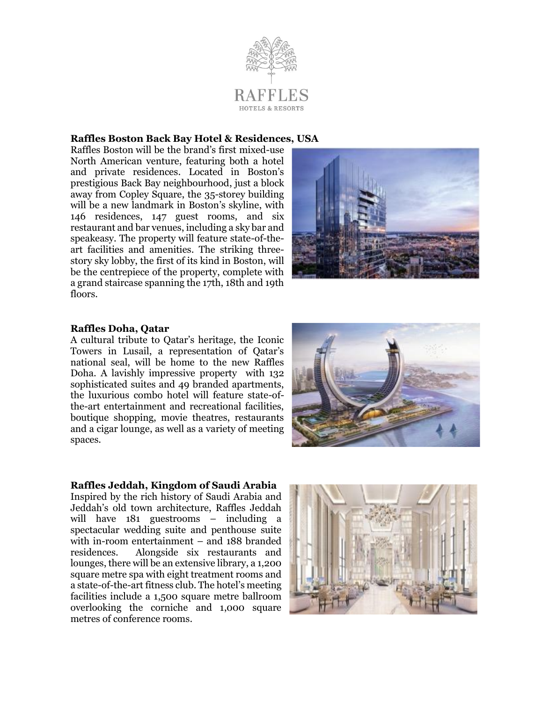

## **Raffles Boston Back Bay Hotel & Residences, USA**

Raffles Boston will be the brand's first mixed-use North American venture, featuring both a hotel and private residences. Located in Boston's prestigious Back Bay neighbourhood, just a block away from Copley Square, the 35-storey building will be a new landmark in Boston's skyline, with 146 residences, 147 guest rooms, and six restaurant and bar venues, including a sky bar and speakeasy. The property will feature state-of-theart facilities and amenities. The striking threestory sky lobby, the first of its kind in Boston, will be the centrepiece of the property, complete with a grand staircase spanning the 17th, 18th and 19th floors.



## **Raffles Doha, Qatar**

A cultural tribute to Qatar's heritage, the Iconic Towers in Lusail, a representation of Qatar's national seal, will be home to the new Raffles Doha. A lavishly impressive property with 132 sophisticated suites and 49 branded apartments, the luxurious combo hotel will feature state-ofthe-art entertainment and recreational facilities, boutique shopping, movie theatres, restaurants and a cigar lounge, as well as a variety of meeting spaces.



## **Raffles Jeddah, Kingdom of Saudi Arabia**

Inspired by the rich history of Saudi Arabia and Jeddah's old town architecture, Raffles Jeddah will have 181 guestrooms – including a spectacular wedding suite and penthouse suite with in-room entertainment – and 188 branded residences. Alongside six restaurants and lounges, there will be an extensive library, a 1,200 square metre spa with eight treatment rooms and a state-of-the-art fitness club. The hotel's meeting facilities include a 1,500 square metre ballroom overlooking the corniche and 1,000 square metres of conference rooms.